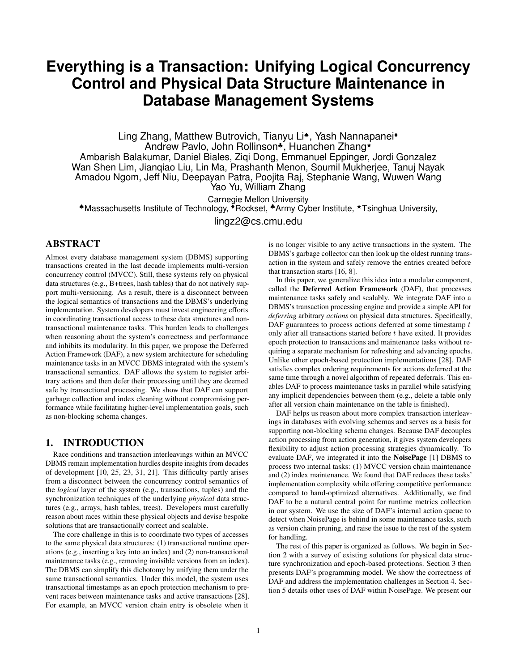# **Everything is a Transaction: Unifying Logical Concurrency Control and Physical Data Structure Maintenance in Database Management Systems**

Ling Zhang, Matthew Butrovich, Tianyu Li<sup>\*</sup>, Yash Nannapanei<sup>\*</sup> Andrew Pavlo, John Rollinson<sup>\*</sup>, Huanchen Zhang<sup>\*</sup> Ambarish Balakumar, Daniel Biales, Ziqi Dong, Emmanuel Eppinger, Jordi Gonzalez Wan Shen Lim, Jianqiao Liu, Lin Ma, Prashanth Menon, Soumil Mukherjee, Tanuj Nayak Amadou Ngom, Jeff Niu, Deepayan Patra, Poojita Raj, Stephanie Wang, Wuwen Wang Yao Yu, William Zhang

Carnegie Mellon University ♠Massachusetts Institute of Technology, Rockset, ♣Army Cyber Institute, <sup>F</sup>Tsinghua University,

[lingz2@cs.cmu.edu](mailto:lingz2@cs.cmu.edu)

# ABSTRACT

Almost every database management system (DBMS) supporting transactions created in the last decade implements multi-version concurrency control (MVCC). Still, these systems rely on physical data structures (e.g., B+trees, hash tables) that do not natively support multi-versioning. As a result, there is a disconnect between the logical semantics of transactions and the DBMS's underlying implementation. System developers must invest engineering efforts in coordinating transactional access to these data structures and nontransactional maintenance tasks. This burden leads to challenges when reasoning about the system's correctness and performance and inhibits its modularity. In this paper, we propose the Deferred Action Framework (DAF), a new system architecture for scheduling maintenance tasks in an MVCC DBMS integrated with the system's transactional semantics. DAF allows the system to register arbitrary actions and then defer their processing until they are deemed safe by transactional processing. We show that DAF can support garbage collection and index cleaning without compromising performance while facilitating higher-level implementation goals, such as non-blocking schema changes.

# 1. INTRODUCTION

Race conditions and transaction interleavings within an MVCC DBMS remain implementation hurdles despite insights from decades of development [\[10,](#page-7-0) [25,](#page-8-0) [23,](#page-8-1) [31,](#page-8-2) [21\]](#page-8-3). This difficulty partly arises from a disconnect between the concurrency control semantics of the *logical* layer of the system (e.g., transactions, tuples) and the synchronization techniques of the underlying *physical* data structures (e.g., arrays, hash tables, trees). Developers must carefully reason about races within these physical objects and devise bespoke solutions that are transactionally correct and scalable.

The core challenge in this is to coordinate two types of accesses to the same physical data structures: (1) transactional runtime operations (e.g., inserting a key into an index) and (2) non-transactional maintenance tasks (e.g., removing invisible versions from an index). The DBMS can simplify this dichotomy by unifying them under the same transactional semantics. Under this model, the system uses transactional timestamps as an epoch protection mechanism to prevent races between maintenance tasks and active transactions [\[28\]](#page-8-4). For example, an MVCC version chain entry is obsolete when it is no longer visible to any active transactions in the system. The DBMS's garbage collector can then look up the oldest running transaction in the system and safely remove the entries created before that transaction starts [\[16,](#page-7-1) [8\]](#page-7-2).

In this paper, we generalize this idea into a modular component, called the Deferred Action Framework (DAF), that processes maintenance tasks safely and scalably. We integrate DAF into a DBMS's transaction processing engine and provide a simple API for *deferring* arbitrary *actions* on physical data structures. Specifically, DAF guarantees to process actions deferred at some timestamp  $t$ only after all transactions started before  $t$  have exited. It provides epoch protection to transactions and maintenance tasks without requiring a separate mechanism for refreshing and advancing epochs. Unlike other epoch-based protection implementations [\[28\]](#page-8-4), DAF satisfies complex ordering requirements for actions deferred at the same time through a novel algorithm of repeated deferrals. This enables DAF to process maintenance tasks in parallel while satisfying any implicit dependencies between them (e.g., delete a table only after all version chain maintenance on the table is finished).

DAF helps us reason about more complex transaction interleavings in databases with evolving schemas and serves as a basis for supporting non-blocking schema changes. Because DAF decouples action processing from action generation, it gives system developers flexibility to adjust action processing strategies dynamically. To evaluate DAF, we integrated it into the NoisePage [\[1\]](#page-7-3) DBMS to process two internal tasks: (1) MVCC version chain maintenance and (2) index maintenance. We found that DAF reduces these tasks' implementation complexity while offering competitive performance compared to hand-optimized alternatives. Additionally, we find DAF to be a natural central point for runtime metrics collection in our system. We use the size of DAF's internal action queue to detect when NoisePage is behind in some maintenance tasks, such as version chain pruning, and raise the issue to the rest of the system for handling.

The rest of this paper is organized as follows. We begin in [Sec](#page-1-0)[tion 2](#page-1-0) with a survey of existing solutions for physical data structure synchronization and epoch-based protections. [Section 3](#page-1-1) then presents DAF's programming model. We show the correctness of DAF and address the implementation challenges in [Section 4.](#page-2-0) [Sec](#page-4-0)[tion 5](#page-4-0) details other uses of DAF within NoisePage. We present our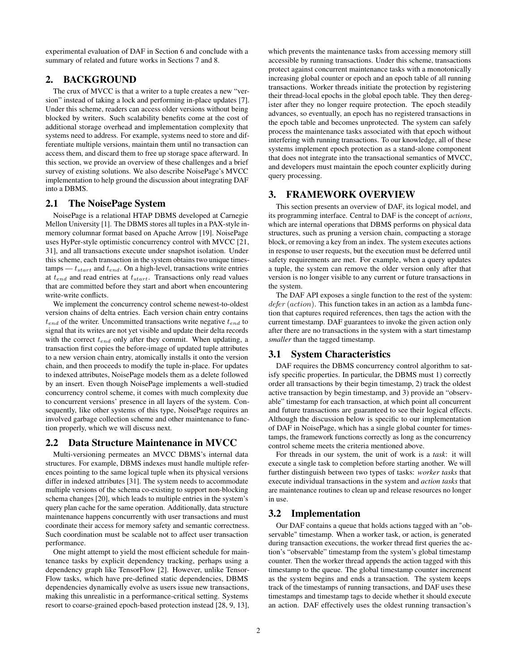experimental evaluation of DAF in [Section 6](#page-5-0) and conclude with a summary of related and future works in [Sections 7](#page-6-0) and [8.](#page-6-1)

## <span id="page-1-0"></span>2. BACKGROUND

The crux of MVCC is that a writer to a tuple creates a new "version" instead of taking a lock and performing in-place updates [\[7\]](#page-7-4). Under this scheme, readers can access older versions without being blocked by writers. Such scalability benefits come at the cost of additional storage overhead and implementation complexity that systems need to address. For example, systems need to store and differentiate multiple versions, maintain them until no transaction can access them, and discard them to free up storage space afterward. In this section, we provide an overview of these challenges and a brief survey of existing solutions. We also describe NoisePage's MVCC implementation to help ground the discussion about integrating DAF into a DBMS.

## 2.1 The NoisePage System

NoisePage is a relational HTAP DBMS developed at Carnegie Mellon University [\[1\]](#page-7-3). The DBMS stores all tuples in a PAX-style inmemory columnar format based on Apache Arrow [\[19\]](#page-7-5). NoisePage uses HyPer-style optimistic concurrency control with MVCC [\[21,](#page-8-3) [31\]](#page-8-2), and all transactions execute under snapshot isolation. Under this scheme, each transaction in the system obtains two unique timestamps —  $t_{start}$  and  $t_{end}$ . On a high-level, transactions write entries at  $t_{end}$  and read entries at  $t_{start}$ . Transactions only read values that are committed before they start and abort when encountering write-write conflicts.

We implement the concurrency control scheme newest-to-oldest version chains of delta entries. Each version chain entry contains  $t_{end}$  of the writer. Uncommitted transactions write negative  $t_{end}$  to signal that its writes are not yet visible and update their delta records with the correct  $t_{end}$  only after they commit. When updating, a transaction first copies the before-image of updated tuple attributes to a new version chain entry, atomically installs it onto the version chain, and then proceeds to modify the tuple in-place. For updates to indexed attributes, NoisePage models them as a delete followed by an insert. Even though NoisePage implements a well-studied concurrency control scheme, it comes with much complexity due to concurrent versions' presence in all layers of the system. Consequently, like other systems of this type, NoisePage requires an involved garbage collection scheme and other maintenance to function properly, which we will discuss next.

#### 2.2 Data Structure Maintenance in MVCC

Multi-versioning permeates an MVCC DBMS's internal data structures. For example, DBMS indexes must handle multiple references pointing to the same logical tuple when its physical versions differ in indexed attributes [\[31\]](#page-8-2). The system needs to accommodate multiple versions of the schema co-existing to support non-blocking schema changes [\[20\]](#page-8-5), which leads to multiple entries in the system's query plan cache for the same operation. Additionally, data structure maintenance happens concurrently with user transactions and must coordinate their access for memory safety and semantic correctness. Such coordination must be scalable not to affect user transaction performance.

One might attempt to yield the most efficient schedule for maintenance tasks by explicit dependency tracking, perhaps using a dependency graph like TensorFlow [\[2\]](#page-7-6). However, unlike Tensor-Flow tasks, which have pre-defined static dependencies, DBMS dependencies dynamically evolve as users issue new transactions, making this unrealistic in a performance-critical setting. Systems resort to coarse-grained epoch-based protection instead [\[28,](#page-8-4) [9,](#page-7-7) [13\]](#page-7-8), which prevents the maintenance tasks from accessing memory still accessible by running transactions. Under this scheme, transactions protect against concurrent maintenance tasks with a monotonically increasing global counter or epoch and an epoch table of all running transactions. Worker threads initiate the protection by registering their thread-local epochs in the global epoch table. They then deregister after they no longer require protection. The epoch steadily advances, so eventually, an epoch has no registered transactions in the epoch table and becomes unprotected. The system can safely process the maintenance tasks associated with that epoch without interfering with running transactions. To our knowledge, all of these systems implement epoch protection as a stand-alone component that does not integrate into the transactional semantics of MVCC, and developers must maintain the epoch counter explicitly during query processing.

# <span id="page-1-1"></span>3. FRAMEWORK OVERVIEW

This section presents an overview of DAF, its logical model, and its programming interface. Central to DAF is the concept of *actions*, which are internal operations that DBMS performs on physical data structures, such as pruning a version chain, compacting a storage block, or removing a key from an index. The system executes actions in response to user requests, but the execution must be deferred until safety requirements are met. For example, when a query updates a tuple, the system can remove the older version only after that version is no longer visible to any current or future transactions in the system.

The DAF API exposes a single function to the rest of the system:  $defer (action)$ . This function takes in an action as a lambda function that captures required references, then tags the action with the current timestamp. DAF guarantees to invoke the given action only after there are no transactions in the system with a start timestamp *smaller* than the tagged timestamp.

## 3.1 System Characteristics

DAF requires the DBMS concurrency control algorithm to satisfy specific properties. In particular, the DBMS must 1) correctly order all transactions by their begin timestamp, 2) track the oldest active transaction by begin timestamp, and 3) provide an "observable" timestamp for each transaction, at which point all concurrent and future transactions are guaranteed to see their logical effects. Although the discussion below is specific to our implementation of DAF in NoisePage, which has a single global counter for timestamps, the framework functions correctly as long as the concurrency control scheme meets the criteria mentioned above.

For threads in our system, the unit of work is a *task*: it will execute a single task to completion before starting another. We will further distinguish between two types of tasks: *worker tasks* that execute individual transactions in the system and *action tasks* that are maintenance routines to clean up and release resources no longer in use.

#### <span id="page-1-2"></span>3.2 Implementation

Our DAF contains a queue that holds actions tagged with an "observable" timestamp. When a worker task, or action, is generated during transaction executions, the worker thread first queries the action's "observable" timestamp from the system's global timestamp counter. Then the worker thread appends the action tagged with this timestamp to the queue. The global timestamp counter increment as the system begins and ends a transaction. The system keeps track of the timestamps of running transactions, and DAF uses these timestamps and timestamp tags to decide whether it should execute an action. DAF effectively uses the oldest running transaction's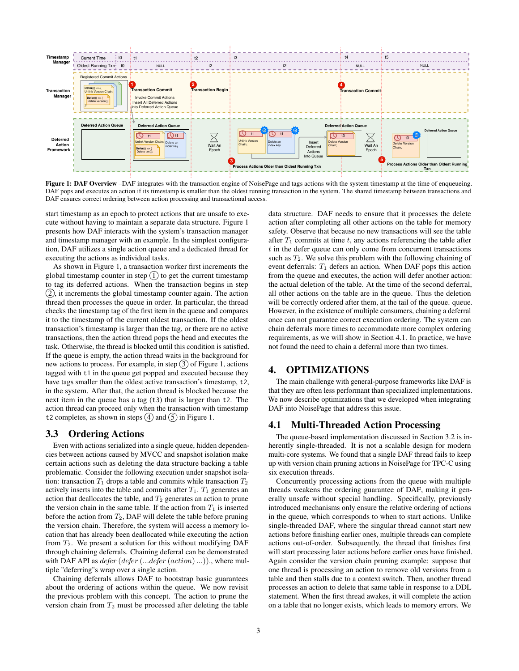<span id="page-2-1"></span>

Figure 1: DAF Overview –DAF integrates with the transaction engine of NoisePage and tags actions with the system timestamp at the time of enqueueing. DAF pops and executes an action if its timestamp is smaller than the oldest running transaction in the system. The shared timestamp between transactions and DAF ensures correct ordering between action processing and transactional access.

start timestamp as an epoch to protect actions that are unsafe to execute without having to maintain a separate data structure. [Figure 1](#page-2-1) presents how DAF interacts with the system's transaction manager and timestamp manager with an example. In the simplest configuration, DAF utilizes a single action queue and a dedicated thread for executing the actions as individual tasks.

As shown in [Figure 1,](#page-2-1) a transaction worker first increments the global timestamp counter in step  $(1)$  to get the current timestamp to tag its deferred actions. When the transaction begins in step  $(2)$ , it increments the global timestamp counter again. The action thread then processes the queue in order. In particular, the thread checks the timestamp tag of the first item in the queue and compares it to the timestamp of the current oldest transaction. If the oldest transaction's timestamp is larger than the tag, or there are no active transactions, then the action thread pops the head and executes the task. Otherwise, the thread is blocked until this condition is satisfied. If the queue is empty, the action thread waits in the background for new actions to process. For example, in step  $(3)$  of [Figure 1,](#page-2-1) actions tagged with t1 in the queue get popped and executed because they have tags smaller than the oldest active transaction's timestamp, t2, in the system. After that, the action thread is blocked because the next item in the queue has a tag (t3) that is larger than t2. The action thread can proceed only when the transaction with timestamp t2 completes, as shown in steps  $(4)$  and  $(5)$  in [Figure 1.](#page-2-1)

#### 3.3 Ordering Actions

Even with actions serialized into a single queue, hidden dependencies between actions caused by MVCC and snapshot isolation make certain actions such as deleting the data structure backing a table problematic. Consider the following execution under snapshot isolation: transaction  $T_1$  drops a table and commits while transaction  $T_2$ actively inserts into the table and commits after  $T_1$ .  $T_1$  generates an action that deallocates the table, and  $T_2$  generates an action to prune the version chain in the same table. If the action from  $T_1$  is inserted before the action from  $T_2$ , DAF will delete the table before pruning the version chain. Therefore, the system will access a memory location that has already been deallocated while executing the action from  $T_2$ . We present a solution for this without modifying DAF through chaining deferrals. Chaining deferral can be demonstrated with DAF API as  $defer (defer (...) defer (action) ...)$ , where multiple "deferring"s wrap over a single action.

Chaining deferrals allows DAF to bootstrap basic guarantees about the ordering of actions within the queue. We now revisit the previous problem with this concept. The action to prune the version chain from  $T_2$  must be processed after deleting the table data structure. DAF needs to ensure that it processes the delete action after completing all other actions on the table for memory safety. Observe that because no new transactions will see the table after  $T_1$  commits at time t, any actions referencing the table after  $t$  in the defer queue can only come from concurrent transactions such as  $T_2$ . We solve this problem with the following chaining of event deferrals:  $T_1$  defers an action. When DAF pops this action from the queue and executes, the action will defer another action: the actual deletion of the table. At the time of the second deferral, all other actions on the table are in the queue. Thus the deletion will be correctly ordered after them, at the tail of the queue. queue. However, in the existence of multiple consumers, chaining a deferral once can not guarantee correct execution ordering. The system can chain deferrals more times to accommodate more complex ordering requirements, as we will show in [Section 4.1.](#page-2-2) In practice, we have not found the need to chain a deferral more than two times.

# <span id="page-2-0"></span>4. OPTIMIZATIONS

The main challenge with general-purpose frameworks like DAF is that they are often less performant than specialized implementations. We now describe optimizations that we developed when integrating DAF into NoisePage that address this issue.

#### <span id="page-2-2"></span>4.1 Multi-Threaded Action Processing

The queue-based implementation discussed in [Section 3.2](#page-1-2) is inherently single-threaded. It is not a scalable design for modern multi-core systems. We found that a single DAF thread fails to keep up with version chain pruning actions in NoisePage for TPC-C using six execution threads.

Concurrently processing actions from the queue with multiple threads weakens the ordering guarantee of DAF, making it generally unsafe without special handling. Specifically, previously introduced mechanisms only ensure the relative ordering of actions in the queue, which corresponds to when to start actions. Unlike single-threaded DAF, where the singular thread cannot start new actions before finishing earlier ones, multiple threads can complete actions out-of-order. Subsequently, the thread that finishes first will start processing later actions before earlier ones have finished. Again consider the version chain pruning example: suppose that one thread is processing an action to remove old versions from a table and then stalls due to a context switch. Then, another thread processes an action to delete that same table in response to a DDL statement. When the first thread awakes, it will complete the action on a table that no longer exists, which leads to memory errors. We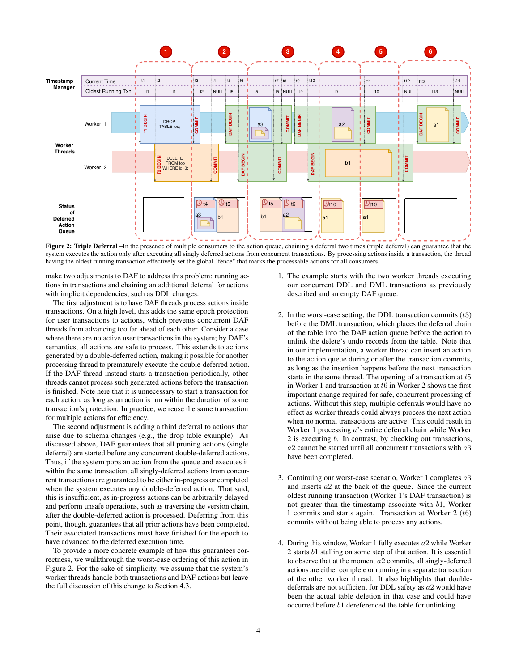<span id="page-3-0"></span>

Figure 2: Triple Deferral –In the presence of multiple consumers to the action queue, chaining a deferral two times (triple deferral) can guarantee that the system executes the action only after executing all singly deferred actions from concurrent transactions. By processing actions inside a transaction, the thread having the oldest running transaction effectively set the global "fence" that marks the processable actions for all consumers.

make two adjustments to DAF to address this problem: running actions in transactions and chaining an additional deferral for actions with implicit dependencies, such as DDL changes.

The first adjustment is to have DAF threads process actions inside transactions. On a high level, this adds the same epoch protection for user transactions to actions, which prevents concurrent DAF threads from advancing too far ahead of each other. Consider a case where there are no active user transactions in the system; by DAF's semantics, all actions are safe to process. This extends to actions generated by a double-deferred action, making it possible for another processing thread to prematurely execute the double-deferred action. If the DAF thread instead starts a transaction periodically, other threads cannot process such generated actions before the transaction is finished. Note here that it is unnecessary to start a transaction for each action, as long as an action is run within the duration of some transaction's protection. In practice, we reuse the same transaction for multiple actions for efficiency.

The second adjustment is adding a third deferral to actions that arise due to schema changes (e.g., the drop table example). As discussed above, DAF guarantees that all pruning actions (single deferral) are started before any concurrent double-deferred actions. Thus, if the system pops an action from the queue and executes it within the same transaction, all singly-deferred actions from concurrent transactions are guaranteed to be either in-progress or completed when the system executes any double-deferred action. That said, this is insufficient, as in-progress actions can be arbitrarily delayed and perform unsafe operations, such as traversing the version chain, after the double-deferred action is processed. Deferring from this point, though, guarantees that all prior actions have been completed. Their associated transactions must have finished for the epoch to have advanced to the deferred execution time.

To provide a more concrete example of how this guarantees correctness, we walkthrough the worst-case ordering of this action in [Figure 2.](#page-3-0) For the sake of simplicity, we assume that the system's worker threads handle both transactions and DAF actions but leave the full discussion of this change to [Section 4.3.](#page-4-1)

- 1. The example starts with the two worker threads executing our concurrent DDL and DML transactions as previously described and an empty DAF queue.
- 2. In the worst-case setting, the DDL transaction commits  $(t3)$ before the DML transaction, which places the deferral chain of the table into the DAF action queue before the action to unlink the delete's undo records from the table. Note that in our implementation, a worker thread can insert an action to the action queue during or after the transaction commits, as long as the insertion happens before the next transaction starts in the same thread. The opening of a transaction at t5 in Worker 1 and transaction at  $t6$  in Worker 2 shows the first important change required for safe, concurrent processing of actions. Without this step, multiple deferrals would have no effect as worker threads could always process the next action when no normal transactions are active. This could result in Worker 1 processing a's entire deferral chain while Worker 2 is executing b. In contrast, by checking out transactions,  $a2$  cannot be started until all concurrent transactions with  $a3$ have been completed.
- 3. Continuing our worst-case scenario, Worker 1 completes a3 and inserts a2 at the back of the queue. Since the current oldest running transaction (Worker 1's DAF transaction) is not greater than the timestamp associate with b1, Worker 1 commits and starts again. Transaction at Worker 2 (t6) commits without being able to process any actions.
- 4. During this window, Worker 1 fully executes  $a2$  while Worker 2 starts b1 stalling on some step of that action. It is essential to observe that at the moment  $a2$  commits, all singly-deferred actions are either complete or running in a separate transaction of the other worker thread. It also highlights that doubledeferrals are not sufficient for DDL safety as a2 would have been the actual table deletion in that case and could have occurred before b1 dereferenced the table for unlinking.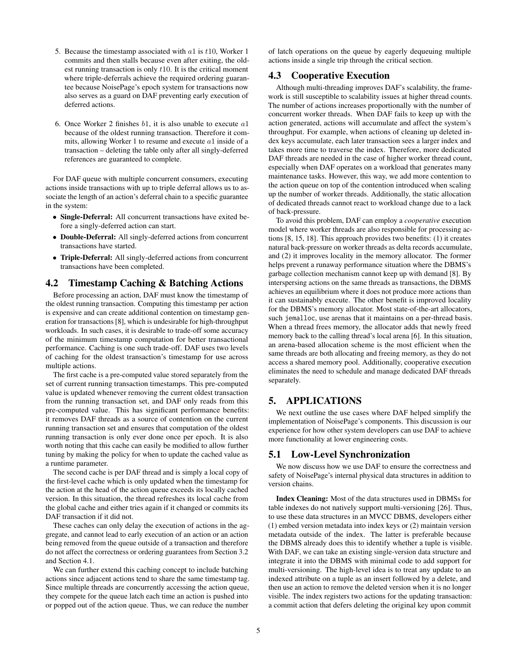- 5. Because the timestamp associated with  $a1$  is  $t10$ , Worker 1 commits and then stalls because even after exiting, the oldest running transaction is only  $t10$ . It is the critical moment where triple-deferrals achieve the required ordering guarantee because NoisePage's epoch system for transactions now also serves as a guard on DAF preventing early execution of deferred actions.
- 6. Once Worker 2 finishes  $b1$ , it is also unable to execute  $a1$ because of the oldest running transaction. Therefore it commits, allowing Worker 1 to resume and execute a1 inside of a transaction – deleting the table only after all singly-deferred references are guaranteed to complete.

For DAF queue with multiple concurrent consumers, executing actions inside transactions with up to triple deferral allows us to associate the length of an action's deferral chain to a specific guarantee in the system:

- Single-Deferral: All concurrent transactions have exited before a singly-deferred action can start.
- Double-Deferral: All singly-deferred actions from concurrent transactions have started.
- Triple-Deferral: All singly-deferred actions from concurrent transactions have been completed.

## 4.2 Timestamp Caching & Batching Actions

Before processing an action, DAF must know the timestamp of the oldest running transaction. Computing this timestamp per action is expensive and can create additional contention on timestamp generation for transactions [\[8\]](#page-7-2), which is undesirable for high-throughput workloads. In such cases, it is desirable to trade-off some accuracy of the minimum timestamp computation for better transactional performance. Caching is one such trade-off. DAF uses two levels of caching for the oldest transaction's timestamp for use across multiple actions.

The first cache is a pre-computed value stored separately from the set of current running transaction timestamps. This pre-computed value is updated whenever removing the current oldest transaction from the running transaction set, and DAF only reads from this pre-computed value. This has significant performance benefits: it removes DAF threads as a source of contention on the current running transaction set and ensures that computation of the oldest running transaction is only ever done once per epoch. It is also worth noting that this cache can easily be modified to allow further tuning by making the policy for when to update the cached value as a runtime parameter.

The second cache is per DAF thread and is simply a local copy of the first-level cache which is only updated when the timestamp for the action at the head of the action queue exceeds its locally cached version. In this situation, the thread refreshes its local cache from the global cache and either tries again if it changed or commits its DAF transaction if it did not.

These caches can only delay the execution of actions in the aggregate, and cannot lead to early execution of an action or an action being removed from the queue outside of a transaction and therefore do not affect the correctness or ordering guarantees from [Section 3.2](#page-1-2) and [Section 4.1.](#page-2-2)

We can further extend this caching concept to include batching actions since adjacent actions tend to share the same timestamp tag. Since multiple threads are concurrently accessing the action queue, they compete for the queue latch each time an action is pushed into or popped out of the action queue. Thus, we can reduce the number of latch operations on the queue by eagerly dequeuing multiple actions inside a single trip through the critical section.

## <span id="page-4-1"></span>4.3 Cooperative Execution

Although multi-threading improves DAF's scalability, the framework is still susceptible to scalability issues at higher thread counts. The number of actions increases proportionally with the number of concurrent worker threads. When DAF fails to keep up with the action generated, actions will accumulate and affect the system's throughput. For example, when actions of cleaning up deleted index keys accumulate, each later transaction sees a larger index and takes more time to traverse the index. Therefore, more dedicated DAF threads are needed in the case of higher worker thread count, especially when DAF operates on a workload that generates many maintenance tasks. However, this way, we add more contention to the action queue on top of the contention introduced when scaling up the number of worker threads. Additionally, the static allocation of dedicated threads cannot react to workload change due to a lack of back-pressure.

To avoid this problem, DAF can employ a *cooperative* execution model where worker threads are also responsible for processing actions [\[8,](#page-7-2) [15,](#page-7-9) [18\]](#page-7-10). This approach provides two benefits: (1) it creates natural back-pressure on worker threads as delta records accumulate, and (2) it improves locality in the memory allocator. The former helps prevent a runaway performance situation where the DBMS's garbage collection mechanism cannot keep up with demand [\[8\]](#page-7-2). By interspersing actions on the same threads as transactions, the DBMS achieves an equilibrium where it does not produce more actions than it can sustainably execute. The other benefit is improved locality for the DBMS's memory allocator. Most state-of-the-art allocators, such jemalloc, use arenas that it maintains on a per-thread basis. When a thread frees memory, the allocator adds that newly freed memory back to the calling thread's local arena [\[6\]](#page-7-11). In this situation, an arena-based allocation scheme is the most efficient when the same threads are both allocating and freeing memory, as they do not access a shared memory pool. Additionally, cooperative execution eliminates the need to schedule and manage dedicated DAF threads separately.

# <span id="page-4-0"></span>5. APPLICATIONS

We next outline the use cases where DAF helped simplify the implementation of NoisePage's components. This discussion is our experience for how other system developers can use DAF to achieve more functionality at lower engineering costs.

#### 5.1 Low-Level Synchronization

We now discuss how we use DAF to ensure the correctness and safety of NoisePage's internal physical data structures in addition to version chains.

Index Cleaning: Most of the data structures used in DBMSs for table indexes do not natively support multi-versioning [\[26\]](#page-8-6). Thus, to use these data structures in an MVCC DBMS, developers either (1) embed version metadata into index keys or (2) maintain version metadata outside of the index. The latter is preferable because the DBMS already does this to identify whether a tuple is visible. With DAF, we can take an existing single-version data structure and integrate it into the DBMS with minimal code to add support for multi-versioning. The high-level idea is to treat any update to an indexed attribute on a tuple as an insert followed by a delete, and then use an action to remove the deleted version when it is no longer visible. The index registers two actions for the updating transaction: a commit action that defers deleting the original key upon commit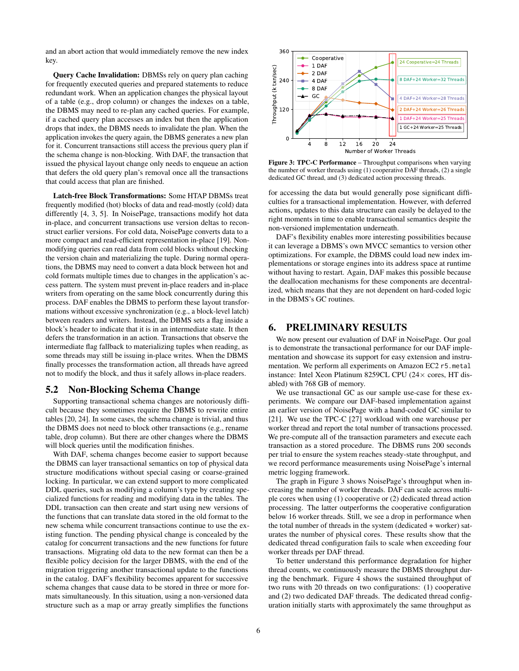and an abort action that would immediately remove the new index key.

Query Cache Invalidation: DBMSs rely on query plan caching for frequently executed queries and prepared statements to reduce redundant work. When an application changes the physical layout of a table (e.g., drop column) or changes the indexes on a table, the DBMS may need to re-plan any cached queries. For example, if a cached query plan accesses an index but then the application drops that index, the DBMS needs to invalidate the plan. When the application invokes the query again, the DBMS generates a new plan for it. Concurrent transactions still access the previous query plan if the schema change is non-blocking. With DAF, the transaction that issued the physical layout change only needs to enqueue an action that defers the old query plan's removal once all the transactions that could access that plan are finished.

Latch-free Block Transformations: Some HTAP DBMSs treat frequently modified (hot) blocks of data and read-mostly (cold) data differently [\[4,](#page-7-12) [3,](#page-7-13) [5\]](#page-7-14). In NoisePage, transactions modify hot data in-place, and concurrent transactions use version deltas to reconstruct earlier versions. For cold data, NoisePage converts data to a more compact and read-efficient representation in-place [\[19\]](#page-7-5). Nonmodifying queries can read data from cold blocks without checking the version chain and materializing the tuple. During normal operations, the DBMS may need to convert a data block between hot and cold formats multiple times due to changes in the application's access pattern. The system must prevent in-place readers and in-place writers from operating on the same block concurrently during this process. DAF enables the DBMS to perform these layout transformations without excessive synchronization (e.g., a block-level latch) between readers and writers. Instead, the DBMS sets a flag inside a block's header to indicate that it is in an intermediate state. It then defers the transformation in an action. Transactions that observe the intermediate flag fallback to materializing tuples when reading, as some threads may still be issuing in-place writes. When the DBMS finally processes the transformation action, all threads have agreed not to modify the block, and thus it safely allows in-place readers.

#### 5.2 Non-Blocking Schema Change

Supporting transactional schema changes are notoriously difficult because they sometimes require the DBMS to rewrite entire tables [\[20,](#page-8-5) [24\]](#page-8-7). In some cases, the schema change is trivial, and thus the DBMS does not need to block other transactions (e.g., rename table, drop column). But there are other changes where the DBMS will block queries until the modification finishes.

With DAF, schema changes become easier to support because the DBMS can layer transactional semantics on top of physical data structure modifications without special casing or coarse-grained locking. In particular, we can extend support to more complicated DDL queries, such as modifying a column's type by creating specialized functions for reading and modifying data in the tables. The DDL transaction can then create and start using new versions of the functions that can translate data stored in the old format to the new schema while concurrent transactions continue to use the existing function. The pending physical change is concealed by the catalog for concurrent transactions and the new functions for future transactions. Migrating old data to the new format can then be a flexible policy decision for the larger DBMS, with the end of the migration triggering another transactional update to the functions in the catalog. DAF's flexibility becomes apparent for successive schema changes that cause data to be stored in three or more formats simultaneously. In this situation, using a non-versioned data structure such as a map or array greatly simplifies the functions

<span id="page-5-1"></span>

Figure 3: TPC-C Performance – Throughput comparisons when varying the number of worker threads using (1) cooperative DAF threads, (2) a single dedicated GC thread, and (3) dedicated action processing threads.

for accessing the data but would generally pose significant difficulties for a transactional implementation. However, with deferred actions, updates to this data structure can easily be delayed to the right moments in time to enable transactional semantics despite the non-versioned implementation underneath.

DAF's flexibility enables more interesting possibilities because it can leverage a DBMS's own MVCC semantics to version other optimizations. For example, the DBMS could load new index implementations or storage engines into its address space at runtime without having to restart. Again, DAF makes this possible because the deallocation mechanisms for these components are decentralized, which means that they are not dependent on hard-coded logic in the DBMS's GC routines.

## <span id="page-5-0"></span>6. PRELIMINARY RESULTS

We now present our evaluation of DAF in NoisePage. Our goal is to demonstrate the transactional performance for our DAF implementation and showcase its support for easy extension and instrumentation. We perform all experiments on Amazon EC2 r5.metal instance: Intel Xeon Platinum 8259CL CPU (24× cores, HT disabled) with 768 GB of memory.

We use transactional GC as our sample use-case for these experiments. We compare our DAF-based implementation against an earlier version of NoisePage with a hand-coded GC similar to [\[21\]](#page-8-3). We use the TPC-C [\[27\]](#page-8-8) workload with one warehouse per worker thread and report the total number of transactions processed. We pre-compute all of the transaction parameters and execute each transaction as a stored procedure. The DBMS runs 200 seconds per trial to ensure the system reaches steady-state throughput, and we record performance measurements using NoisePage's internal metric logging framework.

The graph in [Figure 3](#page-5-1) shows NoisePage's throughput when increasing the number of worker threads. DAF can scale across multiple cores when using (1) cooperative or (2) dedicated thread action processing. The latter outperforms the cooperative configuration below 16 worker threads. Still, we see a drop in performance when the total number of threads in the system (dedicated + worker) saturates the number of physical cores. These results show that the dedicated thread configuration fails to scale when exceeding four worker threads per DAF thread.

To better understand this performance degradation for higher thread counts, we continuously measure the DBMS throughput during the benchmark. [Figure 4](#page-6-2) shows the sustained throughput of two runs with 20 threads on two configurations: (1) cooperative and (2) two dedicated DAF threads. The dedicated thread configuration initially starts with approximately the same throughput as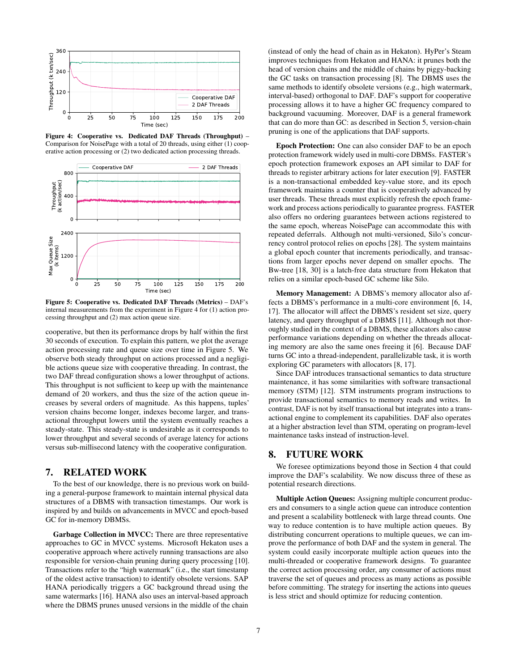<span id="page-6-2"></span>

Figure 4: Cooperative vs. Dedicated DAF Threads (Throughput) – Comparison for NoisePage with a total of 20 threads, using either (1) cooperative action processing or (2) two dedicated action processing threads.

<span id="page-6-3"></span>

Figure 5: Cooperative vs. Dedicated DAF Threads (Metrics) – DAF's internal measurements from the experiment in [Figure 4](#page-6-2) for (1) action processing throughput and (2) max action queue size.

cooperative, but then its performance drops by half within the first 30 seconds of execution. To explain this pattern, we plot the average action processing rate and queue size over time in [Figure 5.](#page-6-3) We observe both steady throughput on actions processed and a negligible actions queue size with cooperative threading. In contrast, the two DAF thread configuration shows a lower throughput of actions. This throughput is not sufficient to keep up with the maintenance demand of 20 workers, and thus the size of the action queue increases by several orders of magnitude. As this happens, tuples' version chains become longer, indexes become larger, and transactional throughput lowers until the system eventually reaches a steady-state. This steady-state is undesirable as it corresponds to lower throughput and several seconds of average latency for actions versus sub-millisecond latency with the cooperative configuration.

# <span id="page-6-0"></span>7. RELATED WORK

To the best of our knowledge, there is no previous work on building a general-purpose framework to maintain internal physical data structures of a DBMS with transaction timestamps. Our work is inspired by and builds on advancements in MVCC and epoch-based GC for in-memory DBMSs.

Garbage Collection in MVCC: There are three representative approaches to GC in MVCC systems. Microsoft Hekaton uses a cooperative approach where actively running transactions are also responsible for version-chain pruning during query processing [\[10\]](#page-7-0). Transactions refer to the "high watermark" (i.e., the start timestamp of the oldest active transaction) to identify obsolete versions. SAP HANA periodically triggers a GC background thread using the same watermarks [\[16\]](#page-7-1). HANA also uses an interval-based approach where the DBMS prunes unused versions in the middle of the chain

(instead of only the head of chain as in Hekaton). HyPer's Steam improves techniques from Hekaton and HANA: it prunes both the head of version chains and the middle of chains by piggy-backing the GC tasks on transaction processing [\[8\]](#page-7-2). The DBMS uses the same methods to identify obsolete versions (e.g., high watermark, interval-based) orthogonal to DAF. DAF's support for cooperative processing allows it to have a higher GC frequency compared to background vacuuming. Moreover, DAF is a general framework that can do more than GC: as described in [Section 5,](#page-4-0) version-chain pruning is one of the applications that DAF supports.

Epoch Protection: One can also consider DAF to be an epoch protection framework widely used in multi-core DBMSs. FASTER's epoch protection framework exposes an API similar to DAF for threads to register arbitrary actions for later execution [\[9\]](#page-7-7). FASTER is a non-transactional embedded key-value store, and its epoch framework maintains a counter that is cooperatively advanced by user threads. These threads must explicitly refresh the epoch framework and process actions periodically to guarantee progress. FASTER also offers no ordering guarantees between actions registered to the same epoch, whereas NoisePage can accommodate this with repeated deferrals. Although not multi-versioned, Silo's concurrency control protocol relies on epochs [\[28\]](#page-8-4). The system maintains a global epoch counter that increments periodically, and transactions from larger epochs never depend on smaller epochs. The Bw-tree [\[18,](#page-7-10) [30\]](#page-8-9) is a latch-free data structure from Hekaton that relies on a similar epoch-based GC scheme like Silo.

Memory Management: A DBMS's memory allocator also affects a DBMS's performance in a multi-core environment [\[6,](#page-7-11) [14,](#page-7-15) [17\]](#page-7-16). The allocator will affect the DBMS's resident set size, query latency, and query throughput of a DBMS [\[11\]](#page-7-17). Although not thoroughly studied in the context of a DBMS, these allocators also cause performance variations depending on whether the threads allocating memory are also the same ones freeing it [\[6\]](#page-7-11). Because DAF turns GC into a thread-independent, parallelizable task, it is worth exploring GC parameters with allocators [\[8,](#page-7-2) [17\]](#page-7-16).

Since DAF introduces transactional semantics to data structure maintenance, it has some similarities with software transactional memory (STM) [\[12\]](#page-7-18). STM instruments program instructions to provide transactional semantics to memory reads and writes. In contrast, DAF is not by itself transactional but integrates into a transactional engine to complement its capabilities. DAF also operates at a higher abstraction level than STM, operating on program-level maintenance tasks instead of instruction-level.

# <span id="page-6-1"></span>8. FUTURE WORK

We foresee optimizations beyond those in [Section 4](#page-2-0) that could improve the DAF's scalability. We now discuss three of these as potential research directions.

Multiple Action Queues: Assigning multiple concurrent producers and consumers to a single action queue can introduce contention and present a scalability bottleneck with large thread counts. One way to reduce contention is to have multiple action queues. By distributing concurrent operations to multiple queues, we can improve the performance of both DAF and the system in general. The system could easily incorporate multiple action queues into the multi-threaded or cooperative framework designs. To guarantee the correct action processing order, any consumer of actions must traverse the set of queues and process as many actions as possible before committing. The strategy for inserting the actions into queues is less strict and should optimize for reducing contention.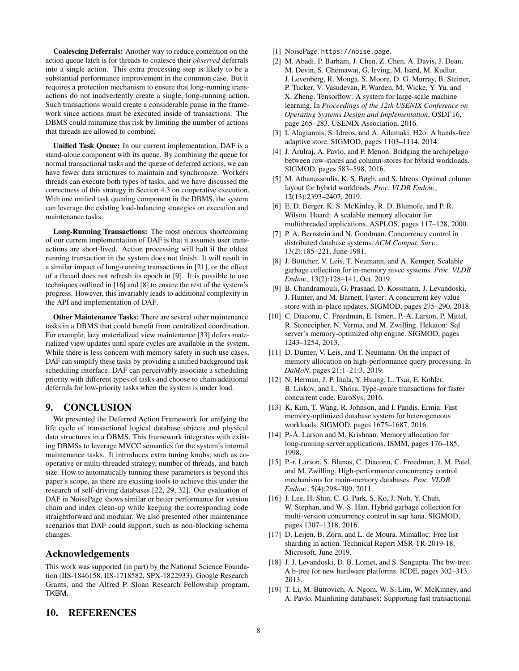Coalescing Deferrals: Another way to reduce contention on the action queue latch is for threads to coalesce their *observed* deferrals into a single action. This extra processing step is likely to be a substantial performance improvement in the common case. But it requires a protection mechanism to ensure that long-running transactions do not inadvertently create a single, long-running action. Such transactions would create a considerable pause in the framework since actions must be executed inside of transactions. The DBMS could minimize this risk by limiting the number of actions that threads are allowed to combine.

Unified Task Queue: In our current implementation, DAF is a stand-alone component with its queue. By combining the queue for normal transactional tasks and the queue of deferred actions, we can have fewer data structures to maintain and synchronize. Workers threads can execute both types of tasks, and we have discussed the correctness of this strategy in [Section 4.3](#page-4-1) on cooperative execution. With one unified task queuing component in the DBMS, the system can leverage the existing load-balancing strategies on execution and maintenance tasks.

Long-Running Transactions: The most onerous shortcoming of our current implementation of DAF is that it assumes user transactions are short-lived. Action processing will halt if the oldest running transaction in the system does not finish. It will result in a similar impact of long-running transactions in [\[21\]](#page-8-3), or the effect of a thread does not refresh its epoch in [\[9\]](#page-7-7). It is possible to use techniques outlined in [\[16\]](#page-7-1) and [\[8\]](#page-7-2) to ensure the rest of the system's progress. However, this invariably leads to additional complexity in the API and implementation of DAF.

Other Maintenance Tasks: There are several other maintenance tasks in a DBMS that could benefit from centralized coordination. For example, lazy materialized view maintenance [\[33\]](#page-8-10) defers materialized view updates until spare cycles are available in the system. While there is less concern with memory safety in such use cases, DAF can simplify these tasks by providing a unified background task scheduling interface. DAF can perceivably associate a scheduling priority with different types of tasks and choose to chain additional deferrals for low-priority tasks when the system is under load.

#### 9. CONCLUSION

We presented the Deferred Action Framework for unifying the life cycle of transactional logical database objects and physical data structures in a DBMS. This framework integrates with existing DBMSs to leverage MVCC semantics for the system's internal maintenance tasks. It introduces extra tuning knobs, such as cooperative or multi-threaded strategy, number of threads, and batch size. How to automatically tunning these parameters is beyond this paper's scope, as there are existing tools to achieve this under the research of self-driving databases [\[22,](#page-8-11) [29,](#page-8-12) [32\]](#page-8-13). Our evaluation of DAF in NoisePage shows similar or better performance for version chain and index clean-up while keeping the corresponding code straightforward and modular. We also presented other maintenance scenarios that DAF could support, such as non-blocking schema changes.

## Acknowledgements

This work was supported (in part) by the National Science Foundation [\(IIS-1846158,](http://www.nsf.gov/awardsearch/showAward?AWD_ID=1846158) [IIS-1718582,](http://www.nsf.gov/awardsearch/showAward?AWD_ID=1718582) [SPX-1822933\)](https://www.nsf.gov/awardsearch/showAward?AWD_ID=1822933), Google Research Grants, and the [Alfred P. Sloan Research Fellowship](https://sloan.org/grant-detail/8638) program. TKBM.

- <span id="page-7-3"></span>[1] NoisePage. <https://noise.page>.
- <span id="page-7-6"></span>[2] M. Abadi, P. Barham, J. Chen, Z. Chen, A. Davis, J. Dean, M. Devin, S. Ghemawat, G. Irving, M. Isard, M. Kudlur, J. Levenberg, R. Monga, S. Moore, D. G. Murray, B. Steiner, P. Tucker, V. Vasudevan, P. Warden, M. Wicke, Y. Yu, and X. Zheng. Tensorflow: A system for large-scale machine learning. In *Proceedings of the 12th USENIX Conference on Operating Systems Design and Implementation*, OSDI'16, page 265–283. USENIX Association, 2016.
- <span id="page-7-13"></span>[3] I. Alagiannis, S. Idreos, and A. Ailamaki. H2o: A hands-free adaptive store. SIGMOD, pages 1103–1114, 2014.
- <span id="page-7-12"></span>[4] J. Arulraj, A. Pavlo, and P. Menon. Bridging the archipelago between row-stores and column-stores for hybrid workloads. SIGMOD, pages 583–598, 2016.
- <span id="page-7-14"></span>[5] M. Athanassoulis, K. S. Bøgh, and S. Idreos. Optimal column layout for hybrid workloads. *Proc. VLDB Endow.*, 12(13):2393–2407, 2019.
- <span id="page-7-11"></span>[6] E. D. Berger, K. S. McKinley, R. D. Blumofe, and P. R. Wilson. Hoard: A scalable memory allocator for multithreaded applications. ASPLOS, pages 117–128, 2000.
- <span id="page-7-4"></span>[7] P. A. Bernstein and N. Goodman. Concurrency control in distributed database systems. *ACM Comput. Surv.*, 13(2):185–221, June 1981.
- <span id="page-7-2"></span>[8] J. Böttcher, V. Leis, T. Neumann, and A. Kemper. Scalable garbage collection for in-memory mvcc systems. *Proc. VLDB Endow.*, 13(2):128–141, Oct. 2019.
- <span id="page-7-7"></span>[9] B. Chandramouli, G. Prasaad, D. Kossmann, J. Levandoski, J. Hunter, and M. Barnett. Faster: A concurrent key-value store with in-place updates. SIGMOD, pages 275–290, 2018.
- <span id="page-7-0"></span>[10] C. Diaconu, C. Freedman, E. Ismert, P.-A. Larson, P. Mittal, R. Stonecipher, N. Verma, and M. Zwilling. Hekaton: Sql server's memory-optimized oltp engine. SIGMOD, pages 1243–1254, 2013.
- <span id="page-7-17"></span>[11] D. Durner, V. Leis, and T. Neumann. On the impact of memory allocation on high-performance query processing. In *DaMoN*, pages 21:1–21:3, 2019.
- <span id="page-7-18"></span>[12] N. Herman, J. P. Inala, Y. Huang, L. Tsai, E. Kohler, B. Liskov, and L. Shrira. Type-aware transactions for faster concurrent code. EuroSys, 2016.
- <span id="page-7-8"></span>[13] K. Kim, T. Wang, R. Johnson, and I. Pandis. Ermia: Fast memory-optimized database system for heterogeneous workloads. SIGMOD, pages 1675–1687, 2016.
- <span id="page-7-15"></span>[14] P.-Å. Larson and M. Krishnan. Memory allocation for long-running server applications. ISMM, pages 176–185, 1998.
- <span id="page-7-9"></span>[15] P.-r. Larson, S. Blanas, C. Diaconu, C. Freedman, J. M. Patel, and M. Zwilling. High-performance concurrency control mechanisms for main-memory databases. *Proc. VLDB Endow.*, 5(4):298–309, 2011.
- <span id="page-7-1"></span>[16] J. Lee, H. Shin, C. G. Park, S. Ko, J. Noh, Y. Chuh, W. Stephan, and W.-S. Han. Hybrid garbage collection for multi-version concurrency control in sap hana. SIGMOD, pages 1307–1318, 2016.
- <span id="page-7-16"></span>[17] D. Leijen, B. Zorn, and L. de Moura. Mimalloc: Free list sharding in action. Technical Report MSR-TR-2019-18, Microsoft, June 2019.
- <span id="page-7-10"></span>[18] J. J. Levandoski, D. B. Lomet, and S. Sengupta. The bw-tree: A b-tree for new hardware platforms. ICDE, pages 302–313, 2013.
- <span id="page-7-5"></span>[19] T. Li, M. Butrovich, A. Ngom, W. S. Lim, W. McKinney, and A. Pavlo. Mainlining databases: Supporting fast transactional

## 10. REFERENCES